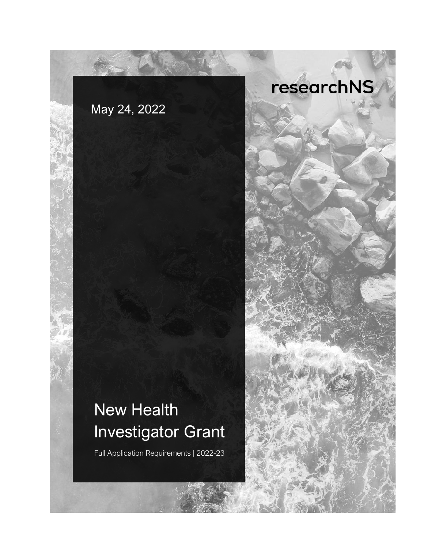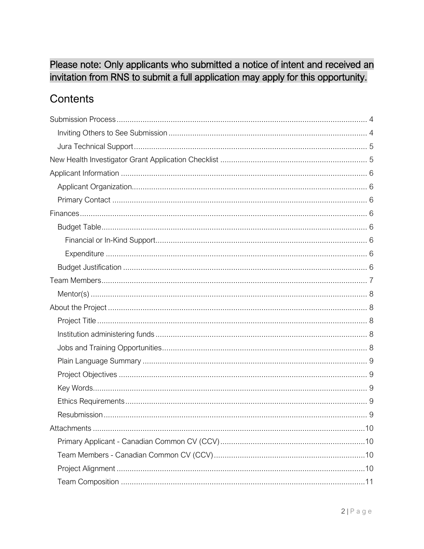## Please note: Only applicants who submitted a notice of intent and received an invitation from RNS to submit a full application may apply for this opportunity.

## Contents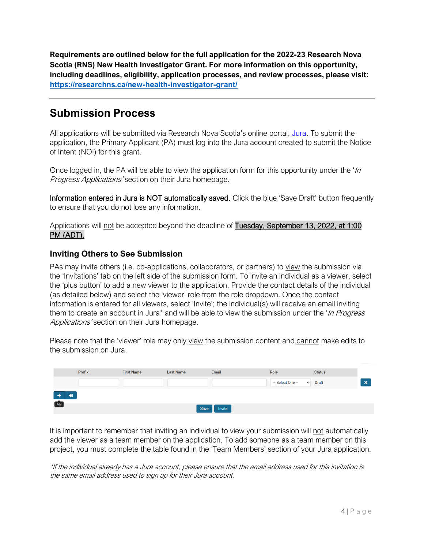**Requirements are outlined below for the full application for the 2022-23 Research Nova Scotia (RNS) New Health Investigator Grant. For more information on this opportunity, including deadlines, eligibility, application processes, and review processes, please visit: <https://researchns.ca/new-health-investigator-grant/>**

## <span id="page-3-0"></span>**Submission Process**

All applications will be submitted via Research Nova Scotia's online portal, [Jura.](https://researchns.smartsimple.ca/) To submit the application, the Primary Applicant (PA) must log into the Jura account created to submit the Notice of Intent (NOI) for this grant.

Once logged in, the PA will be able to view the application form for this opportunity under the ' $\ln$ Progress Applications' section on their Jura homepage.

Information entered in Jura is NOT automatically saved. Click the blue 'Save Draft' button frequently to ensure that you do not lose any information.

Applications will not be accepted beyond the deadline of Tuesday, September 13, 2022, at 1:00 PM (ADT).

## <span id="page-3-1"></span>**Inviting Others to See Submission**

PAs may invite others (i.e. co-applications, collaborators, or partners) to view the submission via the 'Invitations' tab on the left side of the submission form. To invite an individual as a viewer, select the 'plus button' to add a new viewer to the application. Provide the contact details of the individual (as detailed below) and select the 'viewer' role from the role dropdown. Once the contact information is entered for all viewers, select 'Invite'; the individual(s) will receive an email inviting them to create an account in Jura\* and will be able to view the submission under the '*In Progress* Applications' section on their Jura homepage.

Please note that the 'viewer' role may only view the submission content and cannot make edits to the submission on Jura.

|     | Prefix | <b>First Name</b> | <b>Last Name</b> | Email  | Role                       | <b>Status</b> |                           |
|-----|--------|-------------------|------------------|--------|----------------------------|---------------|---------------------------|
|     |        |                   |                  |        | -- Select One --<br>$\sim$ | Draft         | $\boldsymbol{\mathsf{x}}$ |
| ₩   |        |                   |                  |        |                            |               |                           |
| Add |        |                   | Save             | Invite |                            |               |                           |

It is important to remember that inviting an individual to view your submission will not automatically add the viewer as a team member on the application. To add someone as a team member on this project, you must complete the table found in the 'Team Members' section of your Jura application.

\*If the individual already has a Jura account, please ensure that the email address used for this invitation is the same email address used to sign up for their Jura account.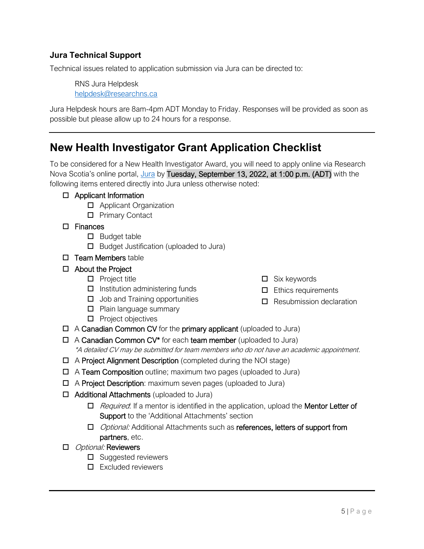## <span id="page-4-0"></span>**Jura Technical Support**

Technical issues related to application submission via Jura can be directed to:

RNS Jura Helpdesk [helpdesk@researchns.ca](mailto:helpdesk@researchns.ca)

Jura Helpdesk hours are 8am-4pm ADT Monday to Friday. Responses will be provided as soon as possible but please allow up to 24 hours for a response.

## <span id="page-4-1"></span>**New Health Investigator Grant Application Checklist**

To be considered for a New Health Investigator Award, you will need to apply online via Research Nova Scotia's online portal, [Jura](https://researchns.smartsimple.ca/) by Tuesday, September 13, 2022, at 1:00 p.m. (ADT) with the following items entered directly into Jura unless otherwise noted:

#### $\Box$  Applicant Information

- □ Applicant Organization
- □ Primary Contact

#### □ Finances

- $\square$  Budget table
- $\Box$  Budget Justification (uploaded to Jura)
- $\square$  Team Members table

### □ About the Project

- $\Box$  Project title
- $\Box$  Institution administering funds
- $\Box$  Job and Training opportunities
- $\Box$  Plain language summary
- $\Box$  Project objectives
- $\Box$  A Canadian Common CV for the primary applicant (uploaded to Jura)
- $\Box$  A Canadian Common CV\* for each team member (uploaded to Jura) \*A detailed CV may be submitted for team members who do not have an academic appointment.
- A Project Alignment Description (completed during the NOI stage)
- $\Box$  A Team Composition outline; maximum two pages (uploaded to Jura)
- $\Box$  A Project Description: maximum seven pages (uploaded to Jura)
- $\Box$  Additional Attachments (uploaded to Jura)
	- $\Box$  Required: If a mentor is identified in the application, upload the **Mentor Letter of** Support to the 'Additional Attachments' section
	- □ *Optional:* Additional Attachments such as references, letters of support from partners, etc.

#### □ *Optional:* Reviewers

- $\square$  Suggested reviewers
- $\Pi$  Excluded reviewers
- $\Box$  Six keywords
- $\Box$  Ethics requirements
- $\Box$  Resubmission declaration

 $5$  | P a g e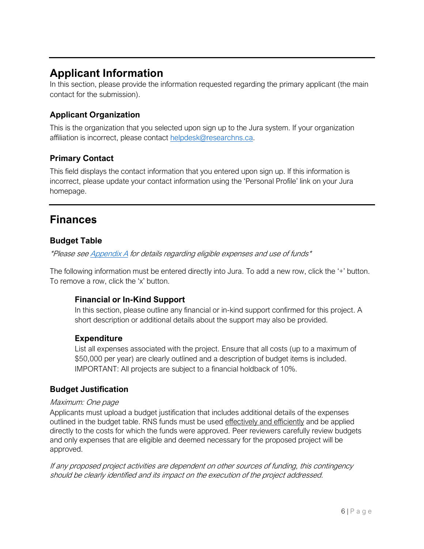## <span id="page-5-0"></span>**Applicant Information**

In this section, please provide the information requested regarding the primary applicant (the main contact for the submission).

## <span id="page-5-1"></span>**Applicant Organization**

This is the organization that you selected upon sign up to the Jura system. If your organization affiliation is incorrect, please contact [helpdesk@researchns.ca.](mailto:helpdesk@researchns.ca)

## <span id="page-5-2"></span>**Primary Contact**

This field displays the contact information that you entered upon sign up. If this information is incorrect, please update your contact information using the 'Personal Profile' link on your Jura homepage.

## <span id="page-5-3"></span>**Finances**

## <span id="page-5-4"></span>**Budget Table**

\*Please se[e Appendix A](#page-12-0) for details regarding eligible expenses and use of funds\*

The following information must be entered directly into Jura. To add a new row, click the '+' button. To remove a row, click the 'x' button.

## <span id="page-5-5"></span>**Financial or In-Kind Support**

In this section, please outline any financial or in-kind support confirmed for this project. A short description or additional details about the support may also be provided.

### <span id="page-5-6"></span>**Expenditure**

List all expenses associated with the project. Ensure that all costs (up to a maximum of \$50,000 per year) are clearly outlined and a description of budget items is included. IMPORTANT: All projects are subject to a financial holdback of 10%.

## <span id="page-5-7"></span>**Budget Justification**

### Maximum: One page

Applicants must upload a budget justification that includes additional details of the expenses outlined in the budget table. RNS funds must be used effectively and efficiently and be applied directly to the costs for which the funds were approved. Peer reviewers carefully review budgets and only expenses that are eligible and deemed necessary for the proposed project will be approved.

If any proposed project activities are dependent on other sources of funding, this contingency should be clearly identified and its impact on the execution of the project addressed.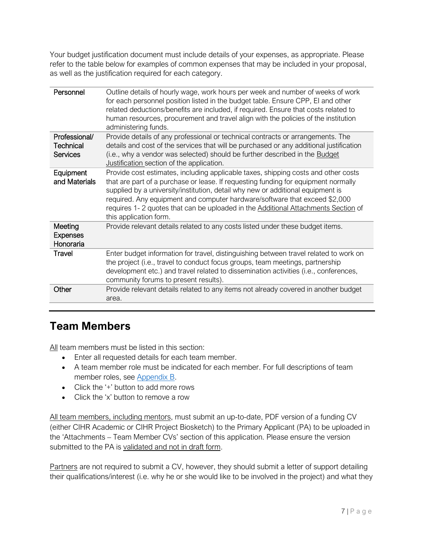Your budget justification document must include details of your expenses, as appropriate. Please refer to the table below for examples of common expenses that may be included in your proposal, as well as the justification required for each category.

| Personnel                                            | Outline details of hourly wage, work hours per week and number of weeks of work<br>for each personnel position listed in the budget table. Ensure CPP, El and other<br>related deductions/benefits are included, if required. Ensure that costs related to<br>human resources, procurement and travel align with the policies of the institution<br>administering funds.                                                                                 |
|------------------------------------------------------|----------------------------------------------------------------------------------------------------------------------------------------------------------------------------------------------------------------------------------------------------------------------------------------------------------------------------------------------------------------------------------------------------------------------------------------------------------|
| Professional/<br><b>Technical</b><br><b>Services</b> | Provide details of any professional or technical contracts or arrangements. The<br>details and cost of the services that will be purchased or any additional justification<br>(i.e., why a vendor was selected) should be further described in the Budget<br>Justification section of the application.                                                                                                                                                   |
| Equipment<br>and Materials                           | Provide cost estimates, including applicable taxes, shipping costs and other costs<br>that are part of a purchase or lease. If requesting funding for equipment normally<br>supplied by a university/institution, detail why new or additional equipment is<br>required. Any equipment and computer hardware/software that exceed \$2,000<br>requires 1-2 quotes that can be uploaded in the Additional Attachments Section of<br>this application form. |
| Meeting<br><b>Expenses</b><br>Honoraria              | Provide relevant details related to any costs listed under these budget items.                                                                                                                                                                                                                                                                                                                                                                           |
| Travel                                               | Enter budget information for travel, distinguishing between travel related to work on<br>the project (i.e., travel to conduct focus groups, team meetings, partnership<br>development etc.) and travel related to dissemination activities (i.e., conferences,<br>community forums to present results).                                                                                                                                                  |
| Other                                                | Provide relevant details related to any items not already covered in another budget<br>area.                                                                                                                                                                                                                                                                                                                                                             |
|                                                      |                                                                                                                                                                                                                                                                                                                                                                                                                                                          |

## <span id="page-6-0"></span>**Team Members**

All team members must be listed in this section:

- Enter all requested details for each team member.
- A team member role must be indicated for each member. For full descriptions of team member roles, see [Appendix B.](#page-16-0)
- Click the '+' button to add more rows
- Click the 'x' button to remove a row

All team members, including mentors, must submit an up-to-date, PDF version of a funding CV (either CIHR Academic or CIHR Project Biosketch) to the Primary Applicant (PA) to be uploaded in the 'Attachments – Team Member CVs' section of this application. Please ensure the version submitted to the PA is validated and not in draft form.

Partners are not required to submit a CV, however, they should submit a letter of support detailing their qualifications/interest (i.e. why he or she would like to be involved in the project) and what they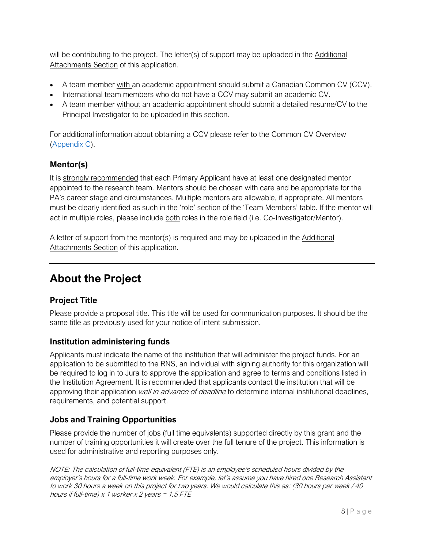will be contributing to the project. The letter(s) of support may be uploaded in the Additional Attachments Section of this application.

- A team member with an academic appointment should submit a Canadian Common CV (CCV).
- International team members who do not have a CCV may submit an academic CV.
- A team member without an academic appointment should submit a detailed resume/CV to the Principal Investigator to be uploaded in this section.

For additional information about obtaining a CCV please refer to the Common CV Overview [\(Appendix C\)](#page-17-0).

## <span id="page-7-0"></span>**Mentor(s)**

It is strongly recommended that each Primary Applicant have at least one designated mentor appointed to the research team. Mentors should be chosen with care and be appropriate for the PA's career stage and circumstances. Multiple mentors are allowable, if appropriate. All mentors must be clearly identified as such in the 'role' section of the 'Team Members' table. If the mentor will act in multiple roles, please include both roles in the role field (i.e. Co-Investigator/Mentor).

A letter of support from the mentor(s) is required and may be uploaded in the Additional Attachments Section of this application.

# <span id="page-7-1"></span>**About the Project**

## <span id="page-7-2"></span>**Project Title**

Please provide a proposal title. This title will be used for communication purposes. It should be the same title as previously used for your notice of intent submission.

## <span id="page-7-3"></span>**Institution administering funds**

Applicants must indicate the name of the institution that will administer the project funds. For an application to be submitted to the RNS, an individual with signing authority for this organization will be required to log in to Jura to approve the application and agree to terms and conditions listed in the Institution Agreement. It is recommended that applicants contact the institution that will be approving their application *well in advance of deadline* to determine internal institutional deadlines, requirements, and potential support.

## <span id="page-7-4"></span>**Jobs and Training Opportunities**

Please provide the number of jobs (full time equivalents) supported directly by this grant and the number of training opportunities it will create over the full tenure of the project. This information is used for administrative and reporting purposes only.

NOTE: The calculation of full-time equivalent (FTE) is an employee's scheduled hours divided by the employer's hours for a full-time work week. For example, let's assume you have hired one Research Assistant to work 30 hours a week on this project for two years. We would calculate this as: (30 hours per week / 40 hours if full-time)  $x$  1 worker  $x$  2 years = 1.5 FTE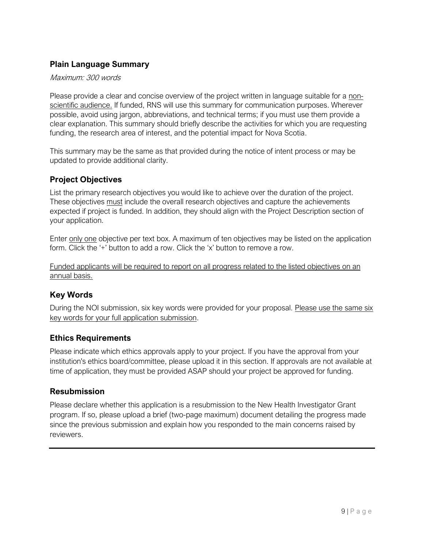## <span id="page-8-0"></span>**Plain Language Summary**

#### Maximum: 300 words

Please provide a clear and concise overview of the project written in language suitable for a nonscientific audience. If funded, RNS will use this summary for communication purposes. Wherever possible, avoid using jargon, abbreviations, and technical terms; if you must use them provide a clear explanation. This summary should briefly describe the activities for which you are requesting funding, the research area of interest, and the potential impact for Nova Scotia.

This summary may be the same as that provided during the notice of intent process or may be updated to provide additional clarity.

## <span id="page-8-1"></span>**Project Objectives**

List the primary research objectives you would like to achieve over the duration of the project. These objectives must include the overall research objectives and capture the achievements expected if project is funded. In addition, they should align with the Project Description section of your application.

Enter only one objective per text box. A maximum of ten objectives may be listed on the application form. Click the '+' button to add a row. Click the 'x' button to remove a row.

Funded applicants will be required to report on all progress related to the listed objectives on an annual basis.

## <span id="page-8-2"></span>**Key Words**

During the NOI submission, six key words were provided for your proposal. Please use the same six key words for your full application submission.

### <span id="page-8-3"></span>**Ethics Requirements**

Please indicate which ethics approvals apply to your project. If you have the approval from your institution's ethics board/committee, please upload it in this section. If approvals are not available at time of application, they must be provided ASAP should your project be approved for funding.

#### <span id="page-8-4"></span>**Resubmission**

Please declare whether this application is a resubmission to the New Health Investigator Grant program. If so, please upload a brief (two-page maximum) document detailing the progress made since the previous submission and explain how you responded to the main concerns raised by reviewers.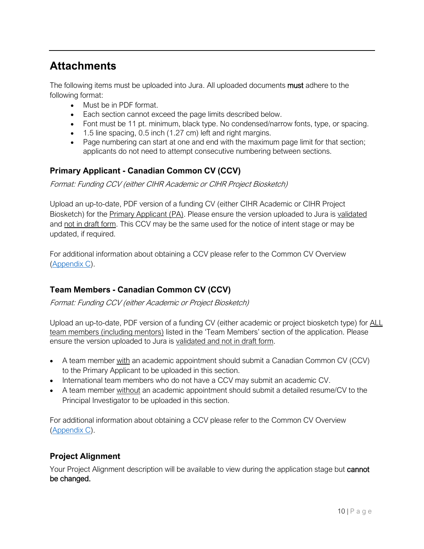## <span id="page-9-0"></span>**Attachments**

The following items must be uploaded into Jura. All uploaded documents **must** adhere to the following format:

- Must be in PDF format.
- Each section cannot exceed the page limits described below.
- Font must be 11 pt. minimum, black type. No condensed/narrow fonts, type, or spacing.
- 1.5 line spacing, 0.5 inch (1.27 cm) left and right margins.
- Page numbering can start at one and end with the maximum page limit for that section; applicants do not need to attempt consecutive numbering between sections.

## <span id="page-9-1"></span>**Primary Applicant - Canadian Common CV (CCV)**

Format: Funding CCV (either CIHR Academic or CIHR Project Biosketch)

Upload an up-to-date, PDF version of a funding CV (either CIHR Academic or CIHR Project Biosketch) for the Primary Applicant (PA). Please ensure the version uploaded to Jura is validated and not in draft form. This CCV may be the same used for the notice of intent stage or may be updated, if required.

For additional information about obtaining a CCV please refer to the Common CV Overview [\(Appendix C\)](#page-17-0).

## <span id="page-9-2"></span>**Team Members - Canadian Common CV (CCV)**

Format: Funding CCV (either Academic or Project Biosketch)

Upload an up-to-date, PDF version of a funding CV (either academic or project biosketch type) for ALL team members (including mentors) listed in the 'Team Members' section of the application. Please ensure the version uploaded to Jura is validated and not in draft form.

- A team member with an academic appointment should submit a Canadian Common CV (CCV) to the Primary Applicant to be uploaded in this section.
- International team members who do not have a CCV may submit an academic CV.
- A team member without an academic appointment should submit a detailed resume/CV to the Principal Investigator to be uploaded in this section.

For additional information about obtaining a CCV please refer to the Common CV Overview [\(Appendix C\)](#page-17-0).

## <span id="page-9-3"></span>**Project Alignment**

Your Project Alignment description will be available to view during the application stage but cannot be changed.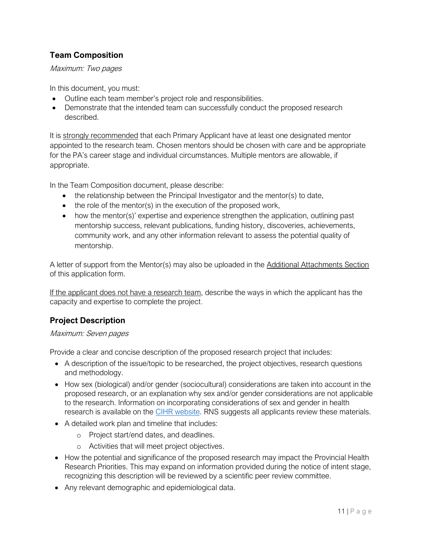## <span id="page-10-0"></span>**Team Composition**

Maximum: Two pages

In this document, you must:

- Outline each team member's project role and responsibilities.
- Demonstrate that the intended team can successfully conduct the proposed research described.

It is strongly recommended that each Primary Applicant have at least one designated mentor appointed to the research team. Chosen mentors should be chosen with care and be appropriate for the PA's career stage and individual circumstances. Multiple mentors are allowable, if appropriate.

In the Team Composition document, please describe:

- the relationship between the Principal Investigator and the mentor(s) to date,
- the role of the mentor(s) in the execution of the proposed work,
- how the mentor(s)' expertise and experience strengthen the application, outlining past mentorship success, relevant publications, funding history, discoveries, achievements, community work, and any other information relevant to assess the potential quality of mentorship.

A letter of support from the Mentor(s) may also be uploaded in the Additional Attachments Section of this application form.

If the applicant does not have a research team, describe the ways in which the applicant has the capacity and expertise to complete the project.

## <span id="page-10-1"></span>**Project Description**

#### Maximum: Seven pages

Provide a clear and concise description of the proposed research project that includes:

- A description of the issue/topic to be researched, the project objectives, research questions and methodology.
- How sex (biological) and/or gender (sociocultural) considerations are taken into account in the proposed research, or an explanation why sex and/or gender considerations are not applicable to the research. Information on incorporating considerations of sex and gender in health research is available on the [CIHR website.](http://www.cihr-irsc.gc.ca/e/32019.html) RNS suggests all applicants review these materials.
- A detailed work plan and timeline that includes:
	- o Project start/end dates, and deadlines.
	- o Activities that will meet project objectives.
- How the potential and significance of the proposed research may impact the Provincial Health [Research Priorities.](http://www.researchns.ca/new-health-investigator-grant/) This may expand on information provided during the notice of intent stage, recognizing this description will be reviewed by a scientific peer review committee.
- Any relevant demographic and epidemiological data.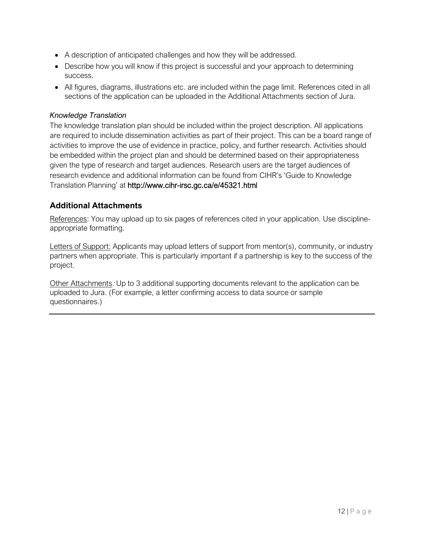- A description of anticipated challenges and how they will be addressed.
- Describe how you will know if this project is successful and your approach to determining success.
- All figures, diagrams, illustrations etc. are included within the page limit. References cited in all sections of the application can be uploaded in the [Additional Attachments](#page-19-0) section of Jura.

#### <span id="page-11-0"></span>*Knowledge Translation*

The knowledge translation plan should be included within the project description. All applications are required to include dissemination activities as part of their project. This can be a board range of activities to improve the use of evidence in practice, policy, and further research. Activities should be embedded within the project plan and should be determined based on their appropriateness given the type of research and target audiences. Research users are the target audiences of research evidence and additional information can be found from CIHR's 'Guide to Knowledge Translation Planning' at <http://www.cihr-irsc.gc.ca/e/45321.html>

#### <span id="page-11-1"></span>**Additional Attachments**

References: You may upload up to six pages of references cited in your application. Use disciplineappropriate formatting.

Letters of Support: Applicants may upload letters of support from mentor(s), community, or industry partners when appropriate. This is particularly important if a partnership is key to the success of the project.

Other Attachments: Up to 3 additional supporting documents relevant to the application can be uploaded to Jura. (For example, a letter confirming access to data source or sample questionnaires.)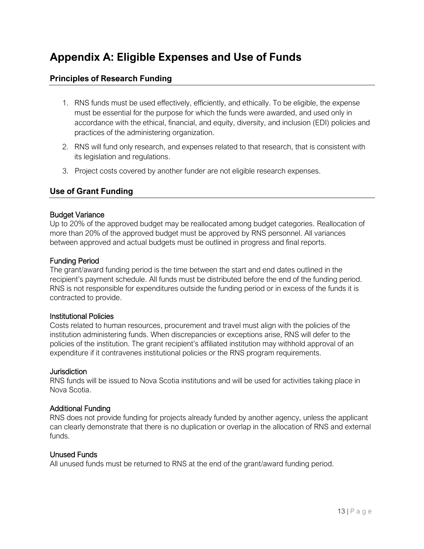## <span id="page-12-0"></span>**Appendix A: Eligible Expenses and Use of Funds**

### <span id="page-12-1"></span>**Principles of Research Funding**

- 1. RNS funds must be used effectively, efficiently, and ethically. To be eligible, the expense must be essential for the purpose for which the funds were awarded, and used only in accordance with the ethical, financial, and equity, diversity, and inclusion (EDI) policies and practices of the administering organization.
- 2. RNS will fund only research, and expenses related to that research, that is consistent with its legislation and regulations.
- 3. Project costs covered by another funder are not eligible research expenses.

#### <span id="page-12-2"></span>**Use of Grant Funding**

#### Budget Variance

Up to 20% of the approved budget may be reallocated among budget categories. Reallocation of more than 20% of the approved budget must be approved by RNS personnel. All variances between approved and actual budgets must be outlined in progress and final reports.

#### Funding Period

The grant/award funding period is the time between the start and end dates outlined in the recipient's payment schedule. All funds must be distributed before the end of the funding period. RNS is not responsible for expenditures outside the funding period or in excess of the funds it is contracted to provide.

#### Institutional Policies

Costs related to human resources, procurement and travel must align with the policies of the institution administering funds. When discrepancies or exceptions arise, RNS will defer to the policies of the institution. The grant recipient's affiliated institution may withhold approval of an expenditure if it contravenes institutional policies or the RNS program requirements.

#### **Jurisdiction**

RNS funds will be issued to Nova Scotia institutions and will be used for activities taking place in Nova Scotia.

#### Additional Funding

RNS does not provide funding for projects already funded by another agency, unless the applicant can clearly demonstrate that there is no duplication or overlap in the allocation of RNS and external funds.

#### Unused Funds

All unused funds must be returned to RNS at the end of the grant/award funding period.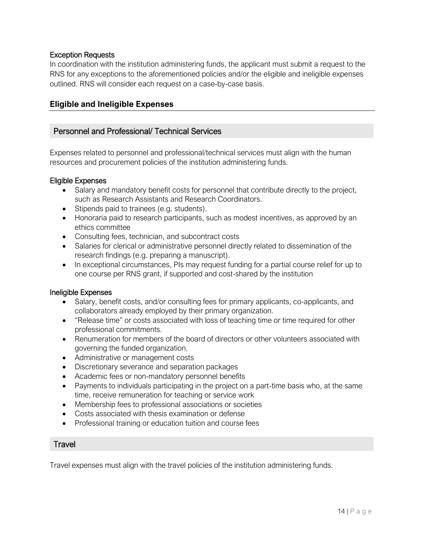#### Exception Requests

In coordination with the institution administering funds, the applicant must submit a request to the RNS for any exceptions to the aforementioned policies and/or the eligible and ineligible expenses outlined. RNS will consider each request on a case-by-case basis.

### <span id="page-13-0"></span>**Eligible and Ineligible Expenses**

#### Personnel and Professional/ Technical Services

Expenses related to personnel and professional/technical services must align with the human resources and procurement policies of the institution administering funds.

#### Eligible Expenses

- Salary and mandatory benefit costs for personnel that contribute directly to the project, such as Research Assistants and Research Coordinators.
- Stipends paid to trainees (e.g. students).
- Honoraria paid to research participants, such as modest incentives, as approved by an ethics committee
- Consulting fees, technician, and subcontract costs
- Salaries for clerical or administrative personnel directly related to dissemination of the research findings (e.g. preparing a manuscript).
- In exceptional circumstances, PIs may request funding for a partial course relief for up to one course per RNS grant, if supported and cost-shared by the institution

#### Ineligible Expenses

- Salary, benefit costs, and/or consulting fees for primary applicants, co-applicants, and collaborators already employed by their primary organization.
- "Release time" or costs associated with loss of teaching time or time required for other professional commitments.
- Renumeration for members of the board of directors or other volunteers associated with governing the funded organization.
- Administrative or management costs
- Discretionary severance and separation packages
- Academic fees or non-mandatory personnel benefits
- Payments to individuals participating in the project on a part-time basis who, at the same time, receive remuneration for teaching or service work
- Membership fees to professional associations or societies
- Costs associated with thesis examination or defense
- Professional training or education tuition and course fees

#### **Travel**

Travel expenses must align with the travel policies of the institution administering funds.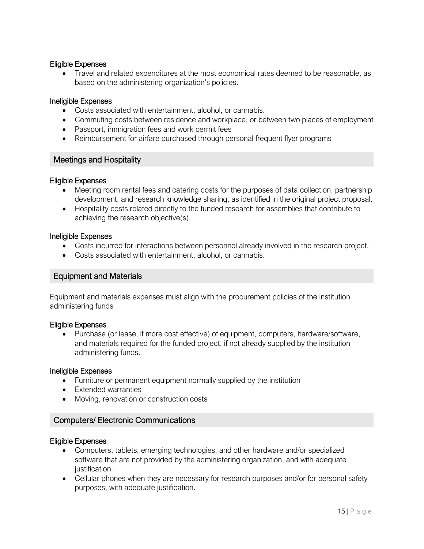#### Eligible Expenses

• Travel and related expenditures at the most economical rates deemed to be reasonable, as based on the administering organization's policies.

#### Ineligible Expenses

- Costs associated with entertainment, alcohol, or cannabis.
- Commuting costs between residence and workplace, or between two places of employment
- Passport, immigration fees and work permit fees
- Reimbursement for airfare purchased through personal frequent flyer programs

#### Meetings and Hospitality

#### Eligible Expenses

- Meeting room rental fees and catering costs for the purposes of data collection, partnership development, and research knowledge sharing, as identified in the original project proposal.
- Hospitality costs related directly to the funded research for assemblies that contribute to achieving the research objective(s).

#### Ineligible Expenses

- Costs incurred for interactions between personnel already involved in the research project.
- Costs associated with entertainment, alcohol, or cannabis.

#### Equipment and Materials

Equipment and materials expenses must align with the procurement policies of the institution administering funds

#### Eligible Expenses

• Purchase (or lease, if more cost effective) of equipment, computers, hardware/software, and materials required for the funded project, if not already supplied by the institution administering funds.

#### Ineligible Expenses

- Furniture or permanent equipment normally supplied by the institution
- Extended warranties
- Moving, renovation or construction costs

#### Computers/ Electronic Communications

#### Eligible Expenses

- Computers, tablets, emerging technologies, and other hardware and/or specialized software that are not provided by the administering organization, and with adequate justification.
- Cellular phones when they are necessary for research purposes and/or for personal safety purposes, with adequate justification.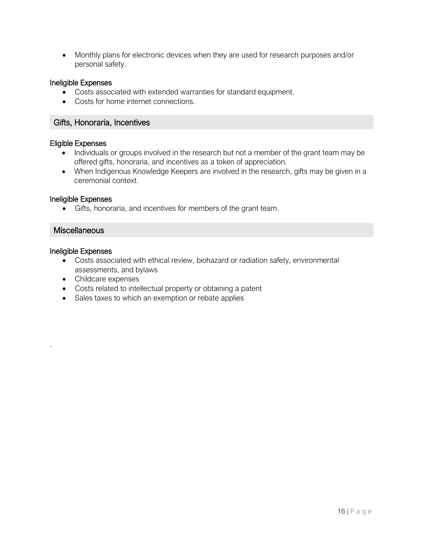• Monthly plans for electronic devices when they are used for research purposes and/or personal safety.

#### Ineligible Expenses

- Costs associated with extended warranties for standard equipment.
- Costs for home internet connections.

#### Gifts, Honoraria, Incentives

#### Eligible Expenses

- Individuals or groups involved in the research but not a member of the grant team may be offered gifts, honoraria, and incentives as a token of appreciation.
- When Indigenous Knowledge Keepers are involved in the research, gifts may be given in a ceremonial context.

#### Ineligible Expenses

• Gifts, honoraria, and incentives for members of the grant team.

## **Miscellaneous**

#### Ineligible Expenses

.

- Costs associated with ethical review, biohazard or radiation safety, environmental assessments, and bylaws
- Childcare expenses
- Costs related to intellectual property or obtaining a patent
- Sales taxes to which an exemption or rebate applies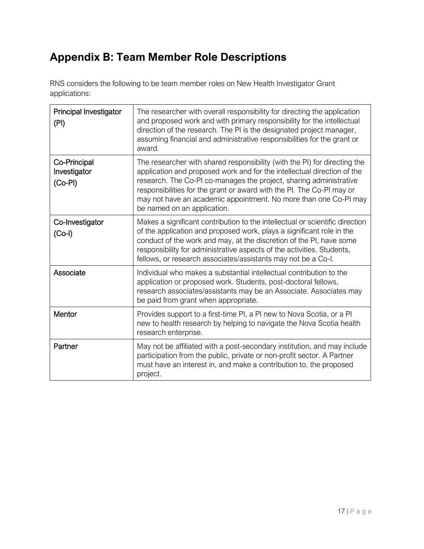# <span id="page-16-0"></span>**Appendix B: Team Member Role Descriptions**

RNS considers the following to be team member roles on New Health Investigator Grant applications:

| <b>Principal Investigator</b><br>(PI)     | The researcher with overall responsibility for directing the application<br>and proposed work and with primary responsibility for the intellectual<br>direction of the research. The PI is the designated project manager,<br>assuming financial and administrative responsibilities for the grant or<br>award.                                                                                        |
|-------------------------------------------|--------------------------------------------------------------------------------------------------------------------------------------------------------------------------------------------------------------------------------------------------------------------------------------------------------------------------------------------------------------------------------------------------------|
| Co-Principal<br>Investigator<br>$(Co-PI)$ | The researcher with shared responsibility (with the PI) for directing the<br>application and proposed work and for the intellectual direction of the<br>research. The Co-PI co-manages the project, sharing administrative<br>responsibilities for the grant or award with the PI. The Co-PI may or<br>may not have an academic appointment. No more than one Co-PI may<br>be named on an application. |
| Co-Investigator<br>$(Co-I)$               | Makes a significant contribution to the intellectual or scientific direction<br>of the application and proposed work, plays a significant role in the<br>conduct of the work and may, at the discretion of the PI, have some<br>responsibility for administrative aspects of the activities. Students,<br>fellows, or research associates/assistants may not be a Co-I.                                |
| Associate                                 | Individual who makes a substantial intellectual contribution to the<br>application or proposed work. Students, post-doctoral fellows,<br>research associates/assistants may be an Associate. Associates may<br>be paid from grant when appropriate.                                                                                                                                                    |
| Mentor                                    | Provides support to a first-time PI, a PI new to Nova Scotia, or a PI<br>new to health research by helping to navigate the Nova Scotia health<br>research enterprise.                                                                                                                                                                                                                                  |
| Partner                                   | May not be affiliated with a post-secondary institution, and may include<br>participation from the public, private or non-profit sector. A Partner<br>must have an interest in, and make a contribution to, the proposed<br>project.                                                                                                                                                                   |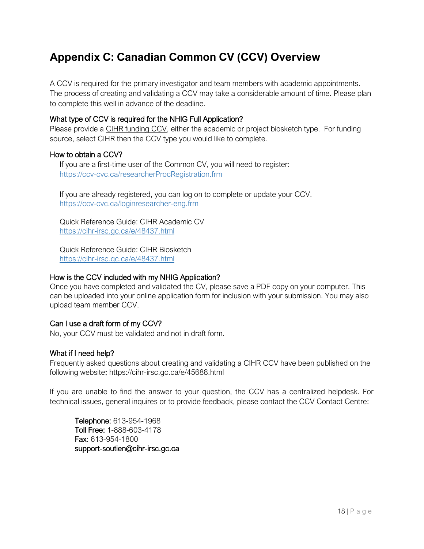## <span id="page-17-0"></span>**Appendix C: Canadian Common CV (CCV) Overview**

A CCV is required for the primary investigator and team members with academic appointments. The process of creating and validating a CCV may take a considerable amount of time. Please plan to complete this well in advance of the deadline.

#### What type of CCV is required for the NHIG Full Application?

Please provide a CIHR funding CCV, either the academic or project biosketch type. For funding source, select CIHR then the CCV type you would like to complete.

#### How to obtain a CCV?

If you are a first-time user of the Common CV, you will need to register: <https://ccv-cvc.ca/researcherProcRegistration.frm>

If you are already registered, you can log on to complete or update your CCV. <https://ccv-cvc.ca/loginresearcher-eng.frm>

Quick Reference Guide: CIHR Academic CV <https://cihr-irsc.gc.ca/e/48437.html>

Quick Reference Guide: CIHR Biosketch <https://cihr-irsc.gc.ca/e/48437.html>

#### How is the CCV included with my NHIG Application?

Once you have completed and validated the CV, please save a PDF copy on your computer. This can be uploaded into your online application form for inclusion with your submission. You may also upload team member CCV.

#### Can I use a draft form of my CCV?

No, your CCV must be validated and not in draft form.

#### What if I need help?

Frequently asked questions about creating and validating a CIHR CCV have been published on the following website:<https://cihr-irsc.gc.ca/e/45688.html>

If you are unable to find the answer to your question, the CCV has a centralized helpdesk. For technical issues, general inquires or to provide feedback, please contact the CCV Contact Centre:

Telephone: 613-954-1968 Toll Free: 1-888-603-4178 Fax: 613-954-1800 support-soutien@cihr-irsc.gc.ca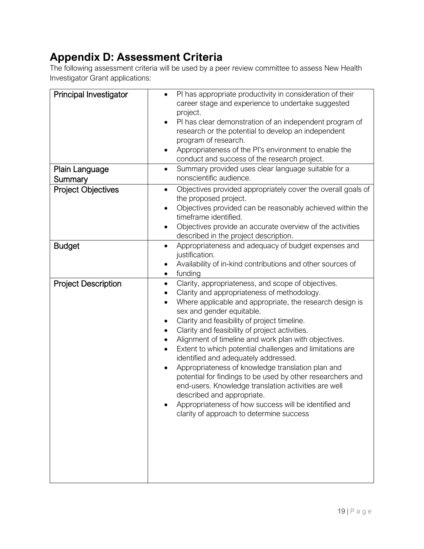# <span id="page-18-0"></span>**Appendix D: Assessment Criteria**

The following assessment criteria will be used by a peer review committee to assess New Health Investigator Grant applications:

| <b>Principal Investigator</b> | PI has appropriate productivity in consideration of their<br>career stage and experience to undertake suggested<br>project.<br>PI has clear demonstration of an independent program of<br>research or the potential to develop an independent<br>program of research.<br>Appropriateness of the PI's environment to enable the<br>conduct and success of the research project.                                                                                                                                                                                                                                                                                                                                                                                         |
|-------------------------------|------------------------------------------------------------------------------------------------------------------------------------------------------------------------------------------------------------------------------------------------------------------------------------------------------------------------------------------------------------------------------------------------------------------------------------------------------------------------------------------------------------------------------------------------------------------------------------------------------------------------------------------------------------------------------------------------------------------------------------------------------------------------|
| Plain Language<br>Summary     | Summary provided uses clear language suitable for a<br>$\bullet$<br>nonscientific audience.                                                                                                                                                                                                                                                                                                                                                                                                                                                                                                                                                                                                                                                                            |
| <b>Project Objectives</b>     | Objectives provided appropriately cover the overall goals of<br>$\bullet$<br>the proposed project.<br>Objectives provided can be reasonably achieved within the<br>timeframe identified.<br>Objectives provide an accurate overview of the activities<br>$\bullet$<br>described in the project description.                                                                                                                                                                                                                                                                                                                                                                                                                                                            |
| <b>Budget</b>                 | Appropriateness and adequacy of budget expenses and<br>$\bullet$<br>justification.<br>Availability of in-kind contributions and other sources of<br>funding<br>٠                                                                                                                                                                                                                                                                                                                                                                                                                                                                                                                                                                                                       |
| <b>Project Description</b>    | Clarity, appropriateness, and scope of objectives.<br>Clarity and appropriateness of methodology.<br>Where applicable and appropriate, the research design is<br>sex and gender equitable.<br>Clarity and feasibility of project timeline.<br>Clarity and feasibility of project activities.<br>Alignment of timeline and work plan with objectives.<br>Extent to which potential challenges and limitations are<br>identified and adequately addressed.<br>Appropriateness of knowledge translation plan and<br>potential for findings to be used by other researchers and<br>end-users. Knowledge translation activities are well<br>described and appropriate.<br>Appropriateness of how success will be identified and<br>clarity of approach to determine success |